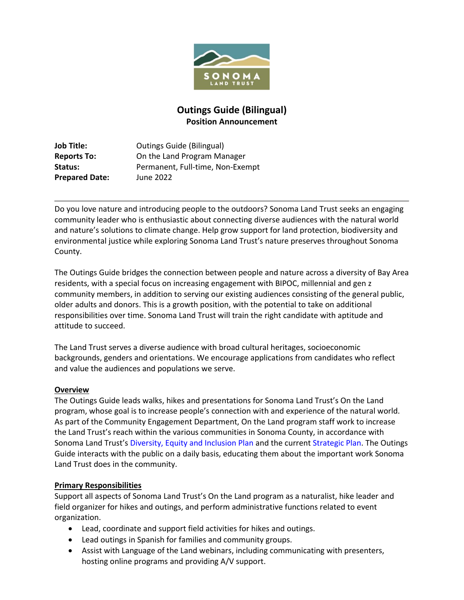

# **Outings Guide (Bilingual) Position Announcement**

**Job Title: Cutings Guide (Bilingual) Reports To:** On the Land Program Manager Status: Permanent, Full-time, Non-Exempt **Prepared Date:** June 2022

Do you love nature and introducing people to the outdoors? Sonoma Land Trust seeks an engaging community leader who is enthusiastic about connecting diverse audiences with the natural world and nature's solutions to climate change. Help grow support for land protection, biodiversity and environmental justice while exploring Sonoma Land Trust's nature preserves throughout Sonoma County.

The Outings Guide bridges the connection between people and nature across a diversity of Bay Area residents, with a special focus on increasing engagement with BIPOC, millennial and gen z community members, in addition to serving our existing audiences consisting of the general public, older adults and donors. This is a growth position, with the potential to take on additional responsibilities over time. Sonoma Land Trust will train the right candidate with aptitude and attitude to succeed.

The Land Trust serves a diverse audience with broad cultural heritages, socioeconomic backgrounds, genders and orientations. We encourage applications from candidates who reflect and value the audiences and populations we serve.

### **Overview**

The Outings Guide leads walks, hikes and presentations for Sonoma Land Trust's On the Land program, whose goal is to increase people's connection with and experience of the natural world. As part of the Community Engagement Department, On the Land program staff work to increase the Land Trust's reach within the various communities in Sonoma County, in accordance with Sonoma Land Trust's [Diversity, Equity and Inclusion Plan](https://sonomalandtrust.org/wp-content/uploads/2019/09/71958_DEI_Plan.02_proof.pdf) and the current [Strategic Plan.](https://sonomalandtrust.org/wp-content/uploads/2022/05/SLT-Strategic-Plan-spreads-FINAL.pdf) The Outings Guide interacts with the public on a daily basis, educating them about the important work Sonoma Land Trust does in the community.

# **Primary Responsibilities**

Support all aspects of Sonoma Land Trust's On the Land program as a naturalist, hike leader and field organizer for hikes and outings, and perform administrative functions related to event organization.

- Lead, coordinate and support field activities for hikes and outings.
- Lead outings in Spanish for families and community groups.
- Assist with Language of the Land webinars, including communicating with presenters, hosting online programs and providing A/V support.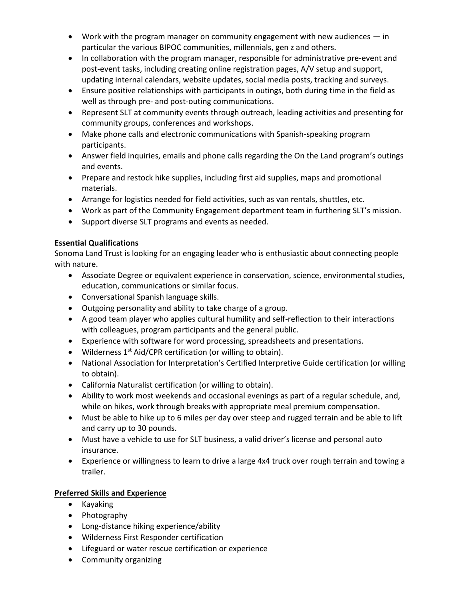- Work with the program manager on community engagement with new audiences in particular the various BIPOC communities, millennials, gen z and others.
- In collaboration with the program manager, responsible for administrative pre-event and post-event tasks, including creating online registration pages, A/V setup and support, updating internal calendars, website updates, social media posts, tracking and surveys.
- Ensure positive relationships with participants in outings, both during time in the field as well as through pre- and post-outing communications.
- Represent SLT at community events through outreach, leading activities and presenting for community groups, conferences and workshops.
- Make phone calls and electronic communications with Spanish-speaking program participants.
- Answer field inquiries, emails and phone calls regarding the On the Land program's outings and events.
- Prepare and restock hike supplies, including first aid supplies, maps and promotional materials.
- Arrange for logistics needed for field activities, such as van rentals, shuttles, etc.
- Work as part of the Community Engagement department team in furthering SLT's mission.
- Support diverse SLT programs and events as needed.

# **Essential Qualifications**

Sonoma Land Trust is looking for an engaging leader who is enthusiastic about connecting people with nature.

- Associate Degree or equivalent experience in conservation, science, environmental studies, education, communications or similar focus.
- Conversational Spanish language skills.
- Outgoing personality and ability to take charge of a group.
- A good team player who applies cultural humility and self-reflection to their interactions with colleagues, program participants and the general public.
- Experience with software for word processing, spreadsheets and presentations.
- Wilderness  $1^{st}$  Aid/CPR certification (or willing to obtain).
- National Association for Interpretation's Certified Interpretive Guide certification (or willing to obtain).
- California Naturalist certification (or willing to obtain).
- Ability to work most weekends and occasional evenings as part of a regular schedule, and, while on hikes, work through breaks with appropriate meal premium compensation.
- Must be able to hike up to 6 miles per day over steep and rugged terrain and be able to lift and carry up to 30 pounds.
- Must have a vehicle to use for SLT business, a valid driver's license and personal auto insurance.
- Experience or willingness to learn to drive a large 4x4 truck over rough terrain and towing a trailer.

# **Preferred Skills and Experience**

- Kayaking
- Photography
- Long-distance hiking experience/ability
- Wilderness First Responder certification
- Lifeguard or water rescue certification or experience
- Community organizing